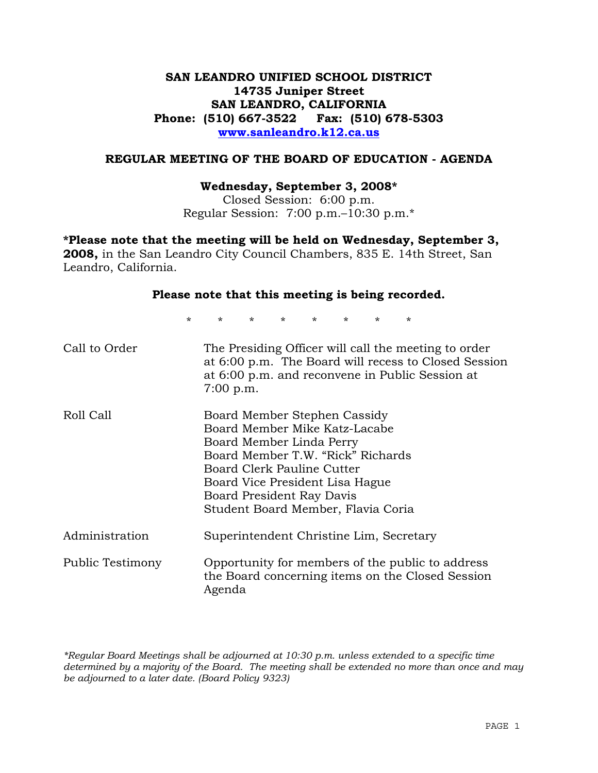# **SAN LEANDRO UNIFIED SCHOOL DISTRICT 14735 Juniper Street SAN LEANDRO, CALIFORNIA Phone: (510) 667-3522 Fax: (510) 678-5303 www.sanleandro.k12.ca.us**

## **REGULAR MEETING OF THE BOARD OF EDUCATION - AGENDA**

#### **Wednesday, September 3, 2008\***

Closed Session: 6:00 p.m. Regular Session: 7:00 p.m.–10:30 p.m.\*

**\*Please note that the meeting will be held on Wednesday, September 3, 2008,** in the San Leandro City Council Chambers, 835 E. 14th Street, San Leandro, California.

# **Please note that this meeting is being recorded.**

\* \* \* \* \* \* \* \*

| Call to Order           | The Presiding Officer will call the meeting to order<br>at 6:00 p.m. The Board will recess to Closed Session<br>at 6:00 p.m. and reconvene in Public Session at<br>7:00 p.m.                                                                                       |
|-------------------------|--------------------------------------------------------------------------------------------------------------------------------------------------------------------------------------------------------------------------------------------------------------------|
| Roll Call               | Board Member Stephen Cassidy<br>Board Member Mike Katz-Lacabe<br>Board Member Linda Perry<br>Board Member T.W. "Rick" Richards<br>Board Clerk Pauline Cutter<br>Board Vice President Lisa Hague<br>Board President Ray Davis<br>Student Board Member, Flavia Coria |
| Administration          | Superintendent Christine Lim, Secretary                                                                                                                                                                                                                            |
| <b>Public Testimony</b> | Opportunity for members of the public to address<br>the Board concerning items on the Closed Session<br>Agenda                                                                                                                                                     |

*\*Regular Board Meetings shall be adjourned at 10:30 p.m. unless extended to a specific time determined by a majority of the Board. The meeting shall be extended no more than once and may be adjourned to a later date. (Board Policy 9323)*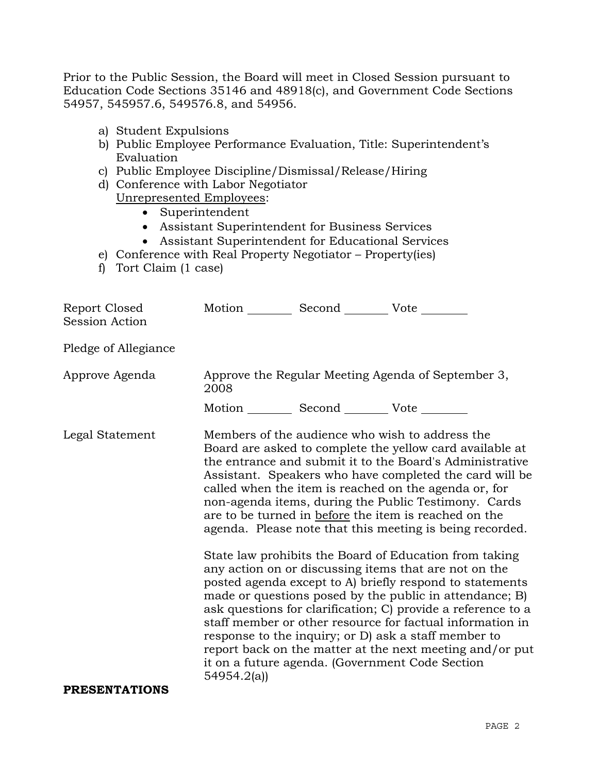Prior to the Public Session, the Board will meet in Closed Session pursuant to Education Code Sections 35146 and 48918(c), and Government Code Sections 54957, 545957.6, 549576.8, and 54956.

- a) Student Expulsions
- b) Public Employee Performance Evaluation, Title: Superintendent's Evaluation
- c) Public Employee Discipline/Dismissal/Release/Hiring
- d) Conference with Labor Negotiator Unrepresented Employees:
	- Superintendent
		- Assistant Superintendent for Business Services
	- Assistant Superintendent for Educational Services
- e) Conference with Real Property Negotiator Property(ies)
- f) Tort Claim (1 case)

| Report Closed<br>Session Action | Motion __________ Second __________ Vote ________                                                                                                                                                                                                                                                                                                                                                                                                                                                                                                                                                                                                                                                                                                                                                                                                                                                                                                                                                                                                                                         |  |  |  |
|---------------------------------|-------------------------------------------------------------------------------------------------------------------------------------------------------------------------------------------------------------------------------------------------------------------------------------------------------------------------------------------------------------------------------------------------------------------------------------------------------------------------------------------------------------------------------------------------------------------------------------------------------------------------------------------------------------------------------------------------------------------------------------------------------------------------------------------------------------------------------------------------------------------------------------------------------------------------------------------------------------------------------------------------------------------------------------------------------------------------------------------|--|--|--|
| Pledge of Allegiance            |                                                                                                                                                                                                                                                                                                                                                                                                                                                                                                                                                                                                                                                                                                                                                                                                                                                                                                                                                                                                                                                                                           |  |  |  |
| Approve Agenda                  | Approve the Regular Meeting Agenda of September 3,<br>2008                                                                                                                                                                                                                                                                                                                                                                                                                                                                                                                                                                                                                                                                                                                                                                                                                                                                                                                                                                                                                                |  |  |  |
|                                 |                                                                                                                                                                                                                                                                                                                                                                                                                                                                                                                                                                                                                                                                                                                                                                                                                                                                                                                                                                                                                                                                                           |  |  |  |
| Legal Statement                 | Motion __________ Second __________ Vote ________<br>Members of the audience who wish to address the<br>Board are asked to complete the yellow card available at<br>the entrance and submit it to the Board's Administrative<br>Assistant. Speakers who have completed the card will be<br>called when the item is reached on the agenda or, for<br>non-agenda items, during the Public Testimony. Cards<br>are to be turned in before the item is reached on the<br>agenda. Please note that this meeting is being recorded.<br>State law prohibits the Board of Education from taking<br>any action on or discussing items that are not on the<br>posted agenda except to A) briefly respond to statements<br>made or questions posed by the public in attendance; B)<br>ask questions for clarification; C) provide a reference to a<br>staff member or other resource for factual information in<br>response to the inquiry; or D) ask a staff member to<br>report back on the matter at the next meeting and/or put<br>it on a future agenda. (Government Code Section<br>54954.2(a) |  |  |  |
| <b>PRESENTATIONS</b>            |                                                                                                                                                                                                                                                                                                                                                                                                                                                                                                                                                                                                                                                                                                                                                                                                                                                                                                                                                                                                                                                                                           |  |  |  |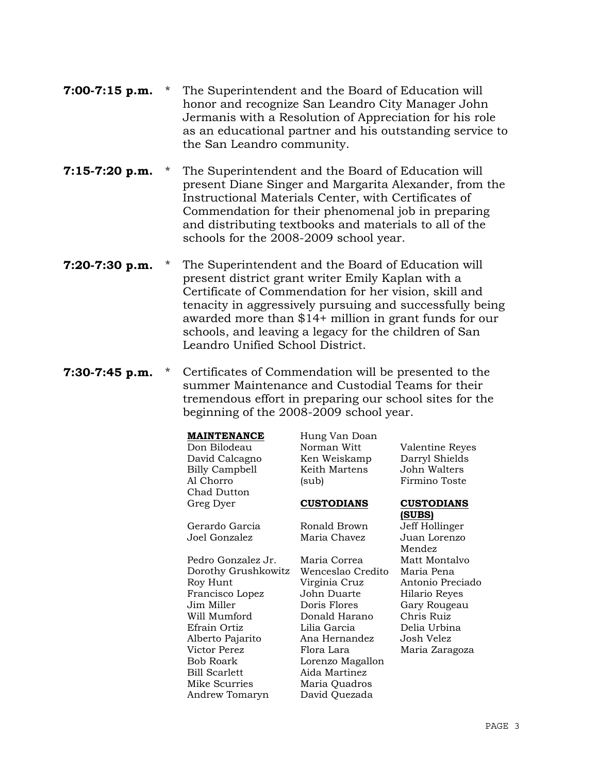| $7:00-7:15$ p.m. | * The Superintendent and the Board of Education will     |
|------------------|----------------------------------------------------------|
|                  | honor and recognize San Leandro City Manager John        |
|                  | Jermanis with a Resolution of Appreciation for his role  |
|                  | as an educational partner and his outstanding service to |
|                  | the San Leandro community.                               |

- **7:15-7:20 p.m.** \* The Superintendent and the Board of Education will present Diane Singer and Margarita Alexander, from the Instructional Materials Center, with Certificates of Commendation for their phenomenal job in preparing and distributing textbooks and materials to all of the schools for the 2008-2009 school year.
- **7:20-7:30 p.m.** \* The Superintendent and the Board of Education will present district grant writer Emily Kaplan with a Certificate of Commendation for her vision, skill and tenacity in aggressively pursuing and successfully being awarded more than \$14+ million in grant funds for our schools, and leaving a legacy for the children of San Leandro Unified School District.
- **7:30-7:45 p.m.** \* Certificates of Commendation will be presented to the summer Maintenance and Custodial Teams for their tremendous effort in preparing our school sites for the beginning of the 2008-2009 school year.

#### **MAINTENANCE** Hung Van Doan

Don Bilodeau Norman Witt Valentine Reyes David Calcagno Ken Weiskamp Darryl Shields Billy Campbell Al Chorro Keith Martens (sub) John Walters Firmino Toste Chad Dutton Greg Dyer **CUSTODIANS CUSTODIANS (SUBS)** Gerardo Garcia Ronald Brown Jeff Hollinger Joel Gonzalez Maria Chavez Juan Lorenzo Mendez Pedro Gonzalez Jr. Maria Correa Matt Montalvo Dorothy Grushkowitz Wenceslao Credito Maria Pena Roy Hunt Virginia Cruz Antonio Preciado Francisco Lopez John Duarte Hilario Reyes Jim Miller Doris Flores Gary Rougeau Will Mumford Donald Harano Chris Ruiz Efrain Ortiz Lilia Garcia Delia Urbina Alberto Pajarito Ana Hernandez Josh Velez Victor Perez Flora Lara Maria Zaragoza Bob Roark Lorenzo Magallon Bill Scarlett Aida Martinez Mike Scurries Maria Quadros Andrew Tomaryn David Quezada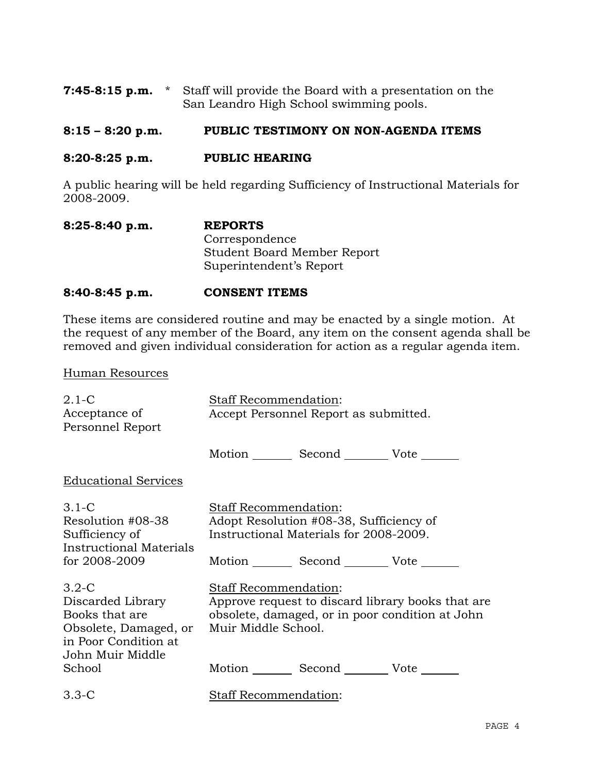|  | <b>7:45-8:15 p.m.</b> * Staff will provide the Board with a presentation on the |
|--|---------------------------------------------------------------------------------|
|  | San Leandro High School swimming pools.                                         |

# **8:15 – 8:20 p.m. PUBLIC TESTIMONY ON NON-AGENDA ITEMS**

## **8:20-8:25 p.m. PUBLIC HEARING**

A public hearing will be held regarding Sufficiency of Instructional Materials for 2008-2009.

| $8:25-8:40 p.m.$ | <b>REPORTS</b>                     |
|------------------|------------------------------------|
|                  | Correspondence                     |
|                  | <b>Student Board Member Report</b> |
|                  | Superintendent's Report            |

### **8:40-8:45 p.m. CONSENT ITEMS**

These items are considered routine and may be enacted by a single motion. At the request of any member of the Board, any item on the consent agenda shall be removed and given individual consideration for action as a regular agenda item.

#### Human Resources

| $2.1 - C$<br>Acceptance of<br>Personnel Report                                                                        | Staff Recommendation:<br>Accept Personnel Report as submitted.                                                                                                |  |  |  |
|-----------------------------------------------------------------------------------------------------------------------|---------------------------------------------------------------------------------------------------------------------------------------------------------------|--|--|--|
|                                                                                                                       | Motion _________ Second __________ Vote _______                                                                                                               |  |  |  |
| <b>Educational Services</b>                                                                                           |                                                                                                                                                               |  |  |  |
| 3.1-C<br>Resolution #08-38<br>Sufficiency of<br><b>Instructional Materials</b><br>for 2008-2009                       | Staff Recommendation:<br>Adopt Resolution #08-38, Sufficiency of<br>Instructional Materials for 2008-2009.<br>Motion _________ Second __________ Vote _______ |  |  |  |
| $3.2 - C$<br>Discarded Library<br>Books that are<br>Obsolete, Damaged, or<br>in Poor Condition at<br>John Muir Middle | <b>Staff Recommendation:</b><br>Approve request to discard library books that are<br>obsolete, damaged, or in poor condition at John<br>Muir Middle School.   |  |  |  |
| School                                                                                                                | Motion Second Vote ______                                                                                                                                     |  |  |  |
| $3.3 - C$                                                                                                             | Staff Recommendation:                                                                                                                                         |  |  |  |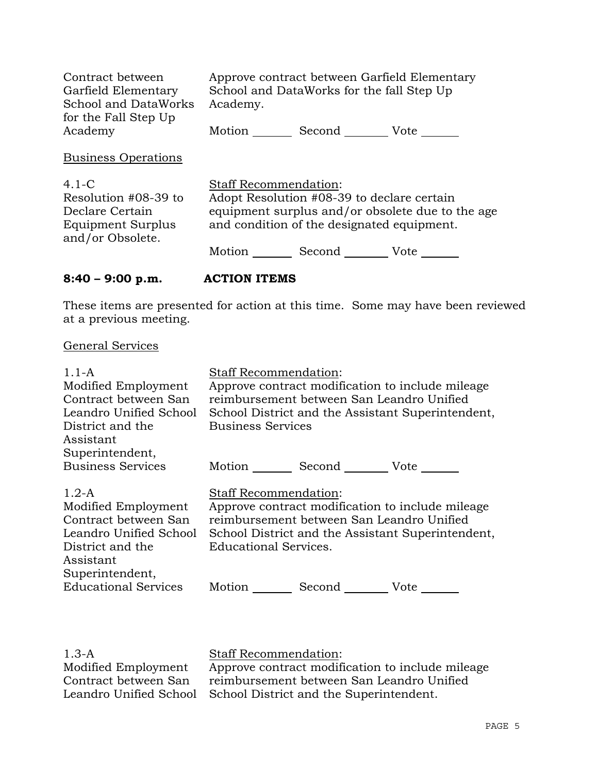| Contract between<br>Garfield Elementary<br><b>School and DataWorks</b><br>for the Fall Step Up | Approve contract between Garfield Elementary<br>School and DataWorks for the fall Step Up<br>Academy.                                                                        |  |  |
|------------------------------------------------------------------------------------------------|------------------------------------------------------------------------------------------------------------------------------------------------------------------------------|--|--|
| Academy                                                                                        | Motion<br>Second<br>Vote                                                                                                                                                     |  |  |
| <b>Business Operations</b>                                                                     |                                                                                                                                                                              |  |  |
| $4.1 - C$<br>Resolution #08-39 to<br>Declare Certain<br>Equipment Surplus<br>and/or Obsolete.  | <b>Staff Recommendation:</b><br>Adopt Resolution #08-39 to declare certain<br>equipment surplus and/or obsolete due to the age<br>and condition of the designated equipment. |  |  |
|                                                                                                | Motion<br>Second<br>Vote                                                                                                                                                     |  |  |

# **8:40 – 9:00 p.m. ACTION ITEMS**

These items are presented for action at this time. Some may have been reviewed at a previous meeting.

# General Services

| $1.1-A$                     | <b>Staff Recommendation:</b>                      |                                           |                                                  |  |
|-----------------------------|---------------------------------------------------|-------------------------------------------|--------------------------------------------------|--|
| Modified Employment         | Approve contract modification to include mileage  |                                           |                                                  |  |
| Contract between San        | reimbursement between San Leandro Unified         |                                           |                                                  |  |
| Leandro Unified School      | School District and the Assistant Superintendent, |                                           |                                                  |  |
| District and the            | <b>Business Services</b>                          |                                           |                                                  |  |
| Assistant                   |                                                   |                                           |                                                  |  |
| Superintendent,             |                                                   |                                           |                                                  |  |
| <b>Business Services</b>    |                                                   | Motion Second Vote                        |                                                  |  |
| $1.2-A$                     | Staff Recommendation:                             |                                           |                                                  |  |
| Modified Employment         |                                                   |                                           | Approve contract modification to include mileage |  |
| Contract between San        |                                                   | reimbursement between San Leandro Unified |                                                  |  |
| Leandro Unified School      | School District and the Assistant Superintendent, |                                           |                                                  |  |
| District and the            | <b>Educational Services.</b>                      |                                           |                                                  |  |
| Assistant                   |                                                   |                                           |                                                  |  |
| Superintendent,             |                                                   |                                           |                                                  |  |
| <b>Educational Services</b> | Motion                                            | Second                                    | Vote                                             |  |

1.3-A Modified Employment Contract between San Leandro Unified School Staff Recommendation:

Approve contract modification to include mileage reimbursement between San Leandro Unified School District and the Superintendent.